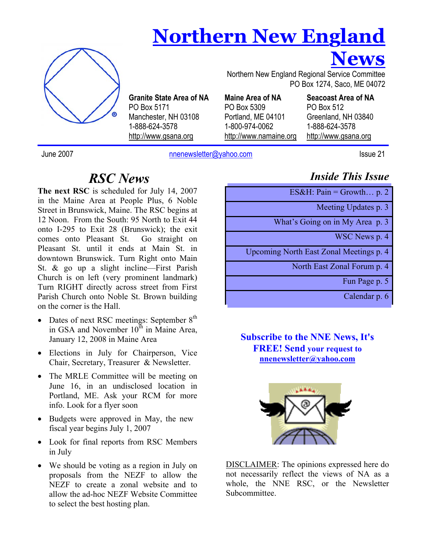# **Northern New England**



**Granite State Area of NA**  PO Box 5171 Manchester, NH 03108 1-888-624-3578 http://www.gsana.org

 PO Box 1274, Saco, ME 04072 **Maine Area of NA**  PO Box 5309 Portland, ME 04101

Northern New England Regional Service Committee

1-800-974-0062 http://www.namaine.org

#### **Seacoast Area of NA**  PO Box 512 Greenland, NH 03840 1-888-624-3578 http://www.gsana.org

June 2007 **nnenewsletter@yahoo.com** Issue 21

### *Inside This Issue*

ES&H: Pain = Growth... p. 2

Meeting Updates p. 3

What's Going on in My Area p. 3

WSC News p. 4

Upcoming North East Zonal Meetings p. 4

North East Zonal Forum p. 4

Fun Page p. 5

Calendar p. 6

**Subscribe to the NNE News, It's FREE! Send your request to nnenewsletter@yahoo.com**



DISCLAIMER: The opinions expressed here do not necessarily reflect the views of NA as a whole, the NNE RSC, or the Newsletter Subcommittee.

### *RSC News*

**The next RSC** is scheduled for July 14, 2007 in the Maine Area at People Plus, 6 Noble Street in Brunswick, Maine. The RSC begins at 12 Noon. From the South: 95 North to Exit 44 onto I-295 to Exit 28 (Brunswick); the exit comes onto Pleasant St. Go straight on Pleasant St. until it ends at Main St. in downtown Brunswick. Turn Right onto Main St. & go up a slight incline—First Parish Church is on left (very prominent landmark) Turn RIGHT directly across street from First Parish Church onto Noble St. Brown building on the corner is the Hall.

- Dates of next RSC meetings: September  $8<sup>th</sup>$ in GSA and November  $10^{th}$  in Maine Area, January 12, 2008 in Maine Area
- Elections in July for Chairperson, Vice Chair, Secretary, Treasurer & Newsletter.
- The MRLE Committee will be meeting on June 16, in an undisclosed location in Portland, ME. Ask your RCM for more info. Look for a flyer soon
- Budgets were approved in May, the new fiscal year begins July 1, 2007
- Look for final reports from RSC Members in July
- We should be voting as a region in July on proposals from the NEZF to allow the NEZF to create a zonal website and to allow the ad-hoc NEZF Website Committee to select the best hosting plan.

**News**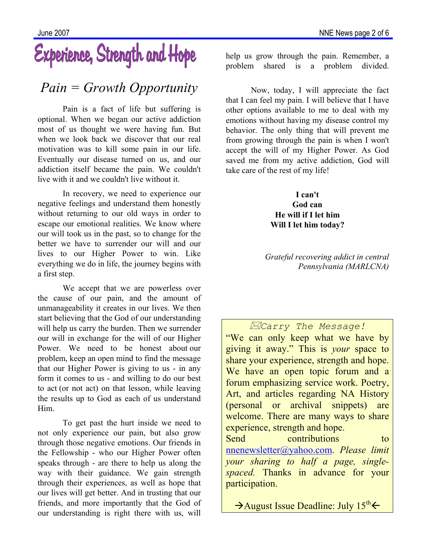# Experience, Strength and Hope

## *Pain = Growth Opportunity*

Pain is a fact of life but suffering is optional. When we began our active addiction most of us thought we were having fun. But when we look back we discover that our real motivation was to kill some pain in our life. Eventually our disease turned on us, and our addiction itself became the pain. We couldn't live with it and we couldn't live without it.

In recovery, we need to experience our negative feelings and understand them honestly without returning to our old ways in order to escape our emotional realities. We know where our will took us in the past, so to change for the better we have to surrender our will and our lives to our Higher Power to win. Like everything we do in life, the journey begins with a first step.

We accept that we are powerless over the cause of our pain, and the amount of unmanageability it creates in our lives. We then start believing that the God of our understanding will help us carry the burden. Then we surrender our will in exchange for the will of our Higher Power. We need to be honest about our problem, keep an open mind to find the message that our Higher Power is giving to us - in any form it comes to us - and willing to do our best to act (or not act) on that lesson, while leaving the results up to God as each of us understand Him.

To get past the hurt inside we need to not only experience our pain, but also grow through those negative emotions. Our friends in the Fellowship - who our Higher Power often speaks through - are there to help us along the way with their guidance. We gain strength through their experiences, as well as hope that our lives will get better. And in trusting that our friends, and more importantly that the God of our understanding is right there with us, will

help us grow through the pain. Remember, a problem shared is a problem divided.

Now, today, I will appreciate the fact that I can feel my pain. I will believe that I have other options available to me to deal with my emotions without having my disease control my behavior. The only thing that will prevent me from growing through the pain is when I won't accept the will of my Higher Power. As God saved me from my active addiction, God will take care of the rest of my life!

> **I can't God can He will if I let him Will I let him today?**

*Grateful recovering addict in central Pennsylvania (MARLCNA)* 

 *Carry The Message!*  "We can only keep what we have by giving it away." This is *your* space to share your experience, strength and hope. We have an open topic forum and a forum emphasizing service work. Poetry, Art, and articles regarding NA History (personal or archival snippets) are welcome. There are many ways to share experience, strength and hope.

Send contributions to nnenewsletter@yahoo.com. *Please limit your sharing to half a page, singlespaced.* Thanks in advance for your participation.

 $\rightarrow$  August Issue Deadline: July 15<sup>th</sup> $\leftarrow$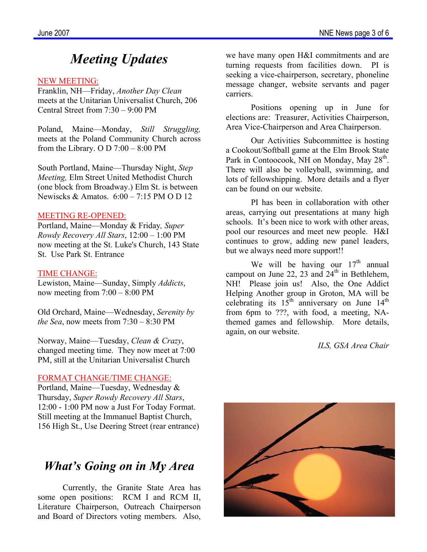### *Meeting Updates*

#### NEW MEETING:

Franklin, NH—Friday, *Another Day Clean*  meets at the Unitarian Universalist Church, 206 Central Street from 7:30 – 9:00 PM

Poland, Maine—Monday, *Still Struggling,*  meets at the Poland Community Church across from the Library. O D  $7:00 - 8:00 \text{ PM}$ 

South Portland, Maine—Thursday Night, *Step Meeting,* Elm Street United Methodist Church (one block from Broadway.) Elm St. is between Newiscks & Amatos. 6:00 – 7:15 PM O D 12

#### MEETING RE-OPENED:

Portland, Maine—Monday & Friday*, Super Rowdy Recovery All Stars*, 12:00 – 1:00 PM now meeting at the St. Luke's Church, 143 State St. Use Park St. Entrance

#### TIME CHANGE:

Lewiston, Maine—Sunday, Simply *Addicts*, now meeting from  $7:00 - 8:00$  PM

Old Orchard, Maine—Wednesday, *Serenity by the Sea*, now meets from 7:30 – 8:30 PM

Norway, Maine—Tuesday, *Clean & Crazy*, changed meeting time. They now meet at 7:00 PM, still at the Unitarian Universalist Church

#### FORMAT CHANGE/TIME CHANGE:

Portland, Maine—Tuesday, Wednesday & Thursday, *Super Rowdy Recovery All Stars*, 12:00 - 1:00 PM now a Just For Today Format. Still meeting at the Immanuel Baptist Church, 156 High St., Use Deering Street (rear entrance)

### *What's Going on in My Area*

Currently, the Granite State Area has some open positions: RCM I and RCM II, Literature Chairperson, Outreach Chairperson and Board of Directors voting members. Also, we have many open H&I commitments and are turning requests from facilities down. PI is seeking a vice-chairperson, secretary, phoneline message changer, website servants and pager carriers.

Positions opening up in June for elections are: Treasurer, Activities Chairperson, Area Vice-Chairperson and Area Chairperson.

Our Activities Subcommittee is hosting a Cookout/Softball game at the Elm Brook State Park in Contoocook, NH on Monday, May 28<sup>th</sup>. There will also be volleyball, swimming, and lots of fellowshipping. More details and a flyer can be found on our website.

PI has been in collaboration with other areas, carrying out presentations at many high schools. It's been nice to work with other areas, pool our resources and meet new people. H&I continues to grow, adding new panel leaders, but we always need more support!!

We will be having our  $17<sup>th</sup>$  annual campout on June 22, 23 and  $24<sup>th</sup>$  in Bethlehem, NH! Please join us! Also, the One Addict Helping Another group in Groton, MA will be celebrating its  $15<sup>th</sup>$  anniversary on June  $14<sup>th</sup>$ from 6pm to ???, with food, a meeting, NAthemed games and fellowship. More details, again, on our website.

*ILS, GSA Area Chair* 

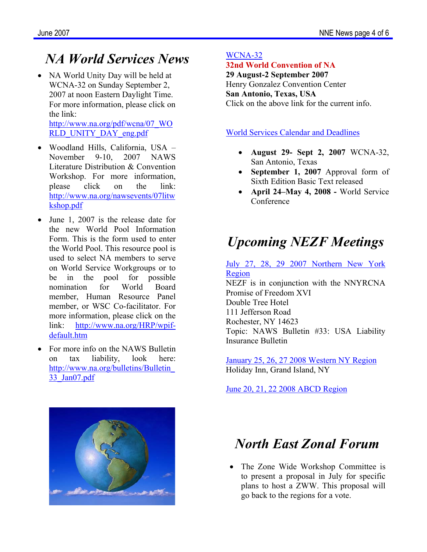# *NA World Services News*

• NA World Unity Day will be held at WCNA-32 on Sunday September 2, 2007 at noon Eastern Daylight Time. For more information, please click on the link:

http://www.na.org/pdf/wcna/07\_WO RLD\_UNITY\_DAY\_eng.pdf

- Woodland Hills, California, USA November 9-10, 2007 NAWS Literature Distribution & Convention Workshop. For more information, please click on the link: http://www.na.org/nawsevents/07litw kshop.pdf
- June 1, 2007 is the release date for the new World Pool Information Form. This is the form used to enter the World Pool. This resource pool is used to select NA members to serve on World Service Workgroups or to be in the pool for possible nomination for World Board member, Human Resource Panel member, or WSC Co-facilitator. For more information, please click on the link: http://www.na.org/HRP/wpifdefault.htm
- For more info on the NAWS Bulletin on tax liability, look here: http://www.na.org/bulletins/Bulletin\_ 33\_Jan07.pdf

#### WCNA-32

#### **32nd World Convention of NA**

**29 August-2 September 2007** Henry Gonzalez Convention Center **San Antonio, Texas, USA**  Click on the above link for the current info.

#### World Services Calendar and Deadlines

- **August 29- Sept 2, 2007** WCNA-32, San Antonio, Texas
- **September 1, 2007** Approval form of Sixth Edition Basic Text released
- **April 24–May 4, 2008** World Service **Conference**

# *Upcoming NEZF Meetings*

July 27, 28, 29 2007 Northern New York Region

NEZF is in conjunction with the NNYRCNA Promise of Freedom XVI Double Tree Hotel 111 Jefferson Road Rochester, NY 14623 Topic: NAWS Bulletin #33: USA Liability Insurance Bulletin

January 25, 26, 27 2008 Western NY Region Holiday Inn, Grand Island, NY

June 20, 21, 22 2008 ABCD Region

## *North East Zonal Forum*

• The Zone Wide Workshop Committee is to present a proposal in July for specific plans to host a ZWW. This proposal will go back to the regions for a vote.

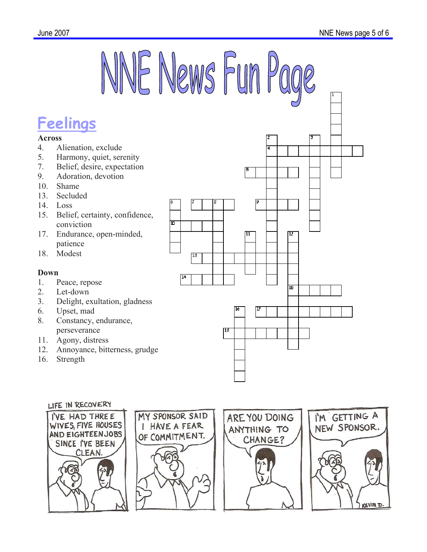